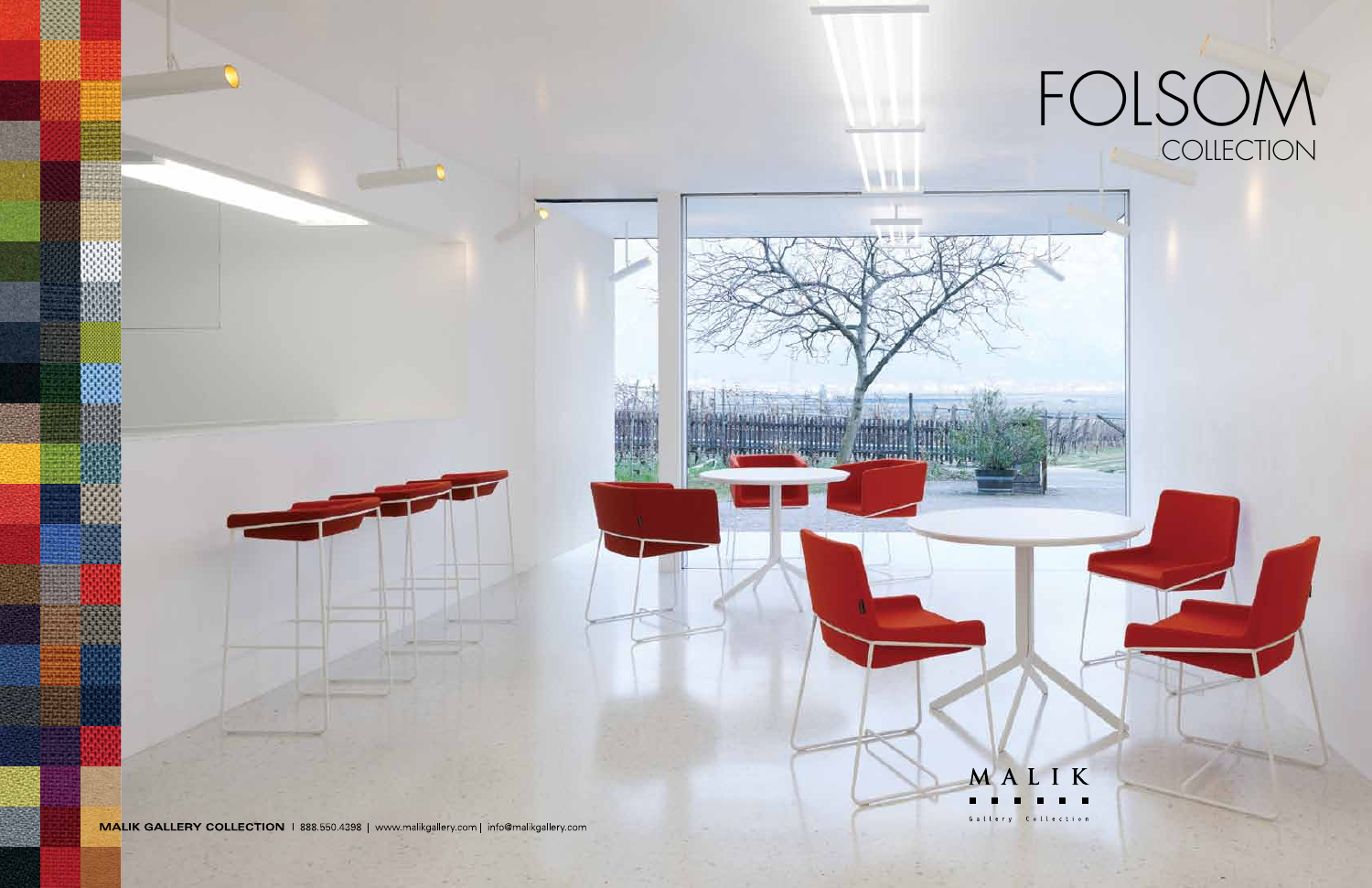

# FOLSOM **COLLECTION**